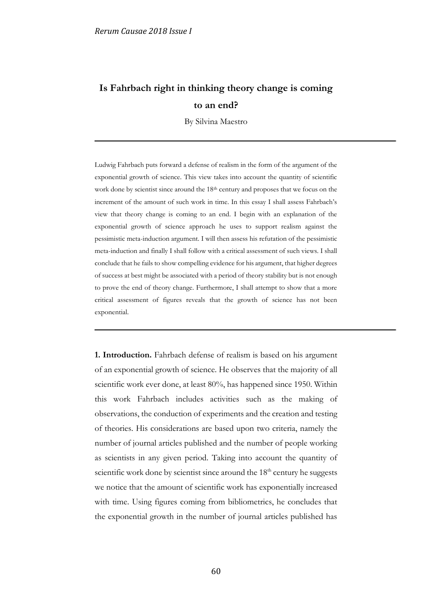## **Is Fahrbach right in thinking theory change is coming to an end?**

By Silvina Maestro

Ludwig Fahrbach puts forward a defense of realism in the form of the argument of the exponential growth of science. This view takes into account the quantity of scientific work done by scientist since around the 18<sup>th</sup> century and proposes that we focus on the increment of the amount of such work in time. In this essay I shall assess Fahrbach's view that theory change is coming to an end. I begin with an explanation of the exponential growth of science approach he uses to support realism against the pessimistic meta-induction argument. I will then assess his refutation of the pessimistic meta-induction and finally I shall follow with a critical assessment of such views. I shall conclude that he fails to show compelling evidence for his argument, that higher degrees of success at best might be associated with a period of theory stability but is not enough to prove the end of theory change. Furthermore, I shall attempt to show that a more critical assessment of figures reveals that the growth of science has not been exponential.

**1. Introduction.** Fahrbach defense of realism is based on his argument of an exponential growth of science. He observes that the majority of all scientific work ever done, at least 80%, has happened since 1950. Within this work Fahrbach includes activities such as the making of observations, the conduction of experiments and the creation and testing of theories. His considerations are based upon two criteria, namely the number of journal articles published and the number of people working as scientists in any given period. Taking into account the quantity of scientific work done by scientist since around the  $18<sup>th</sup>$  century he suggests we notice that the amount of scientific work has exponentially increased with time. Using figures coming from bibliometrics, he concludes that the exponential growth in the number of journal articles published has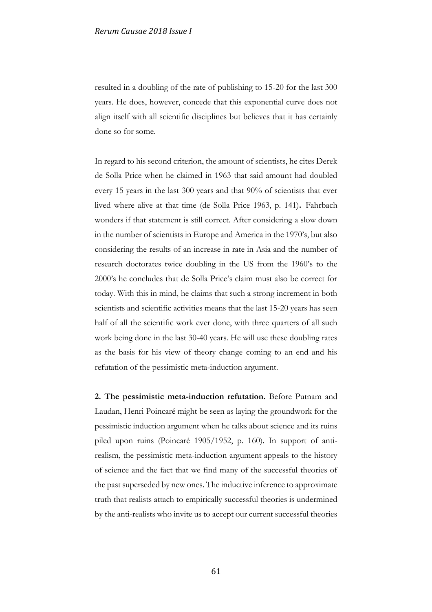resulted in a doubling of the rate of publishing to 15-20 for the last 300 years. He does, however, concede that this exponential curve does not align itself with all scientific disciplines but believes that it has certainly done so for some.

In regard to his second criterion, the amount of scientists, he cites Derek de Solla Price when he claimed in 1963 that said amount had doubled every 15 years in the last 300 years and that 90% of scientists that ever lived where alive at that time (de Solla Price 1963, p. 141)**.** Fahrbach wonders if that statement is still correct. After considering a slow down in the number of scientists in Europe and America in the 1970's, but also considering the results of an increase in rate in Asia and the number of research doctorates twice doubling in the US from the 1960's to the 2000's he concludes that de Solla Price's claim must also be correct for today. With this in mind, he claims that such a strong increment in both scientists and scientific activities means that the last 15-20 years has seen half of all the scientific work ever done, with three quarters of all such work being done in the last 30-40 years. He will use these doubling rates as the basis for his view of theory change coming to an end and his refutation of the pessimistic meta-induction argument.

**2. The pessimistic meta-induction refutation.** Before Putnam and Laudan, Henri Poincaré might be seen as laying the groundwork for the pessimistic induction argument when he talks about science and its ruins piled upon ruins (Poincaré 1905/1952, p. 160). In support of antirealism, the pessimistic meta-induction argument appeals to the history of science and the fact that we find many of the successful theories of the past superseded by new ones. The inductive inference to approximate truth that realists attach to empirically successful theories is undermined by the anti-realists who invite us to accept our current successful theories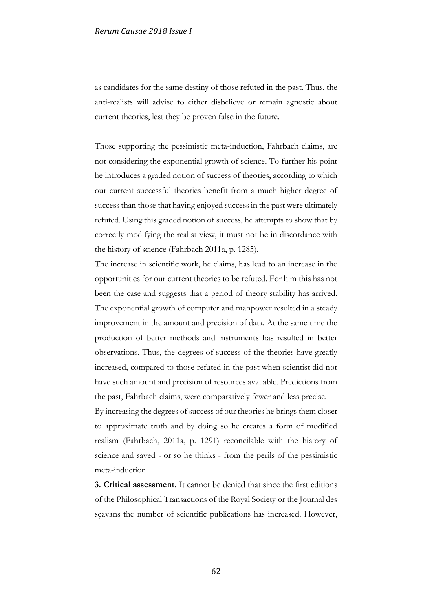as candidates for the same destiny of those refuted in the past. Thus, the anti-realists will advise to either disbelieve or remain agnostic about current theories, lest they be proven false in the future.

Those supporting the pessimistic meta-induction, Fahrbach claims, are not considering the exponential growth of science. To further his point he introduces a graded notion of success of theories, according to which our current successful theories benefit from a much higher degree of success than those that having enjoyed success in the past were ultimately refuted. Using this graded notion of success, he attempts to show that by correctly modifying the realist view, it must not be in discordance with the history of science (Fahrbach 2011a, p. 1285).

The increase in scientific work, he claims, has lead to an increase in the opportunities for our current theories to be refuted. For him this has not been the case and suggests that a period of theory stability has arrived. The exponential growth of computer and manpower resulted in a steady improvement in the amount and precision of data. At the same time the production of better methods and instruments has resulted in better observations. Thus, the degrees of success of the theories have greatly increased, compared to those refuted in the past when scientist did not have such amount and precision of resources available. Predictions from the past, Fahrbach claims, were comparatively fewer and less precise.

By increasing the degrees of success of our theories he brings them closer to approximate truth and by doing so he creates a form of modified realism (Fahrbach, 2011a, p. 1291) reconcilable with the history of science and saved - or so he thinks - from the perils of the pessimistic meta-induction

**3. Critical assessment.** It cannot be denied that since the first editions of the Philosophical Transactions of the Royal Society or the Journal des sçavans the number of scientific publications has increased. However,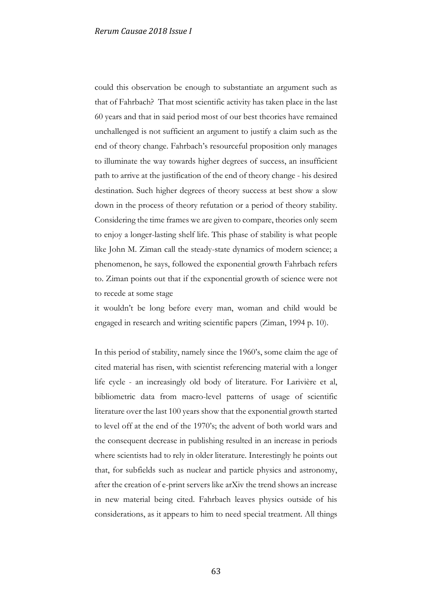could this observation be enough to substantiate an argument such as that of Fahrbach? That most scientific activity has taken place in the last 60 years and that in said period most of our best theories have remained unchallenged is not sufficient an argument to justify a claim such as the end of theory change. Fahrbach's resourceful proposition only manages to illuminate the way towards higher degrees of success, an insufficient path to arrive at the justification of the end of theory change - his desired destination. Such higher degrees of theory success at best show a slow down in the process of theory refutation or a period of theory stability. Considering the time frames we are given to compare, theories only seem to enjoy a longer-lasting shelf life. This phase of stability is what people like John M. Ziman call the steady-state dynamics of modern science; a phenomenon, he says, followed the exponential growth Fahrbach refers to. Ziman points out that if the exponential growth of science were not to recede at some stage

it wouldn't be long before every man, woman and child would be engaged in research and writing scientific papers (Ziman, 1994 p. 10).

In this period of stability, namely since the 1960's, some claim the age of cited material has risen, with scientist referencing material with a longer life cycle - an increasingly old body of literature. For Larivière et al, bibliometric data from macro-level patterns of usage of scientific literature over the last 100 years show that the exponential growth started to level off at the end of the 1970's; the advent of both world wars and the consequent decrease in publishing resulted in an increase in periods where scientists had to rely in older literature. Interestingly he points out that, for subfields such as nuclear and particle physics and astronomy, after the creation of e-print servers like arXiv the trend shows an increase in new material being cited. Fahrbach leaves physics outside of his considerations, as it appears to him to need special treatment. All things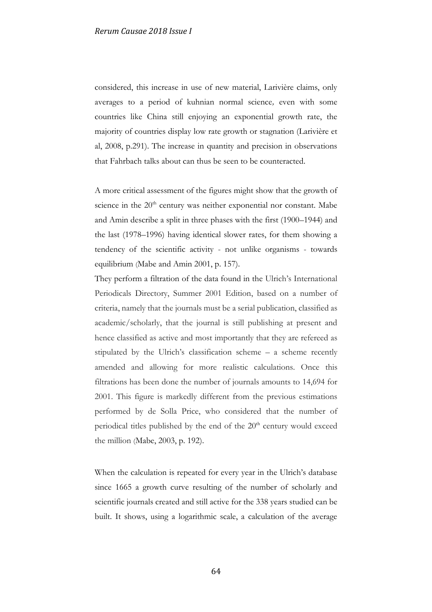considered, this increase in use of new material, Larivière claims, only averages to a period of kuhnian normal science*,* even with some countries like China still enjoying an exponential growth rate, the majority of countries display low rate growth or stagnation (Larivière et al, 2008, p.291). The increase in quantity and precision in observations that Fahrbach talks about can thus be seen to be counteracted.

A more critical assessment of the figures might show that the growth of science in the  $20<sup>th</sup>$  century was neither exponential nor constant. Mabe and Amin describe a split in three phases with the first (1900–1944) and the last (1978–1996) having identical slower rates, for them showing a tendency of the scientific activity - not unlike organisms - towards equilibrium (Mabe and Amin 2001, p. 157).

They perform a filtration of the data found in the Ulrich's International Periodicals Directory, Summer 2001 Edition, based on a number of criteria, namely that the journals must be a serial publication, classified as academic/scholarly, that the journal is still publishing at present and hence classified as active and most importantly that they are refereed as stipulated by the Ulrich's classification scheme – a scheme recently amended and allowing for more realistic calculations. Once this filtrations has been done the number of journals amounts to 14,694 for 2001. This figure is markedly different from the previous estimations performed by de Solla Price, who considered that the number of periodical titles published by the end of the  $20<sup>th</sup>$  century would exceed the million (Mabe, 2003, p. 192).

When the calculation is repeated for every year in the Ulrich's database since 1665 a growth curve resulting of the number of scholarly and scientific journals created and still active for the 338 years studied can be built. It shows, using a logarithmic scale, a calculation of the average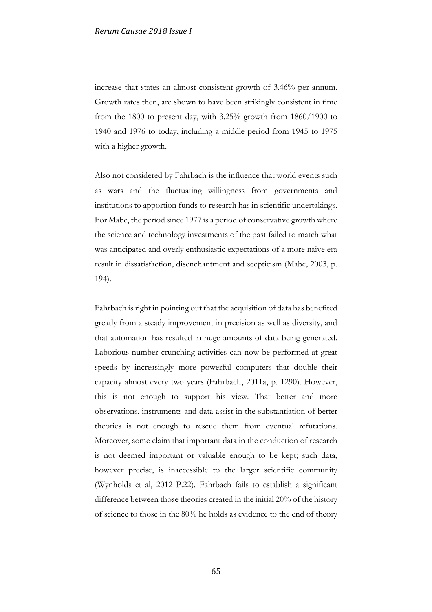increase that states an almost consistent growth of 3.46% per annum. Growth rates then, are shown to have been strikingly consistent in time from the 1800 to present day, with 3.25% growth from 1860/1900 to 1940 and 1976 to today, including a middle period from 1945 to 1975 with a higher growth.

Also not considered by Fahrbach is the influence that world events such as wars and the fluctuating willingness from governments and institutions to apportion funds to research has in scientific undertakings. For Mabe, the period since 1977 is a period of conservative growth where the science and technology investments of the past failed to match what was anticipated and overly enthusiastic expectations of a more naïve era result in dissatisfaction, disenchantment and scepticism (Mabe, 2003, p. 194).

Fahrbach is right in pointing out that the acquisition of data has benefited greatly from a steady improvement in precision as well as diversity, and that automation has resulted in huge amounts of data being generated. Laborious number crunching activities can now be performed at great speeds by increasingly more powerful computers that double their capacity almost every two years (Fahrbach, 2011a, p. 1290). However, this is not enough to support his view. That better and more observations, instruments and data assist in the substantiation of better theories is not enough to rescue them from eventual refutations. Moreover, some claim that important data in the conduction of research is not deemed important or valuable enough to be kept; such data, however precise, is inaccessible to the larger scientific community (Wynholds et al, 2012 P.22). Fahrbach fails to establish a significant difference between those theories created in the initial 20% of the history of science to those in the 80% he holds as evidence to the end of theory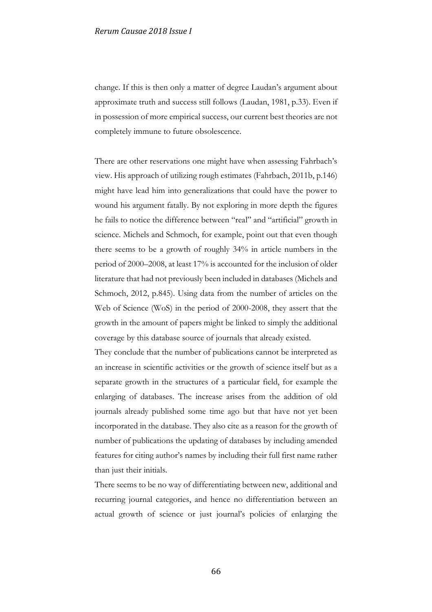change. If this is then only a matter of degree Laudan's argument about approximate truth and success still follows (Laudan, 1981, p.33). Even if in possession of more empirical success, our current best theories are not completely immune to future obsolescence.

There are other reservations one might have when assessing Fahrbach's view. His approach of utilizing rough estimates (Fahrbach, 2011b, p.146) might have lead him into generalizations that could have the power to wound his argument fatally. By not exploring in more depth the figures he fails to notice the difference between "real" and "artificial" growth in science. Michels and Schmoch, for example, point out that even though there seems to be a growth of roughly 34% in article numbers in the period of 2000–2008, at least 17% is accounted for the inclusion of older literature that had not previously been included in databases (Michels and Schmoch, 2012, p.845). Using data from the number of articles on the Web of Science (WoS) in the period of 2000-2008, they assert that the growth in the amount of papers might be linked to simply the additional coverage by this database source of journals that already existed.

They conclude that the number of publications cannot be interpreted as an increase in scientific activities or the growth of science itself but as a separate growth in the structures of a particular field, for example the enlarging of databases. The increase arises from the addition of old journals already published some time ago but that have not yet been incorporated in the database. They also cite as a reason for the growth of number of publications the updating of databases by including amended features for citing author's names by including their full first name rather than just their initials.

There seems to be no way of differentiating between new, additional and recurring journal categories, and hence no differentiation between an actual growth of science or just journal's policies of enlarging the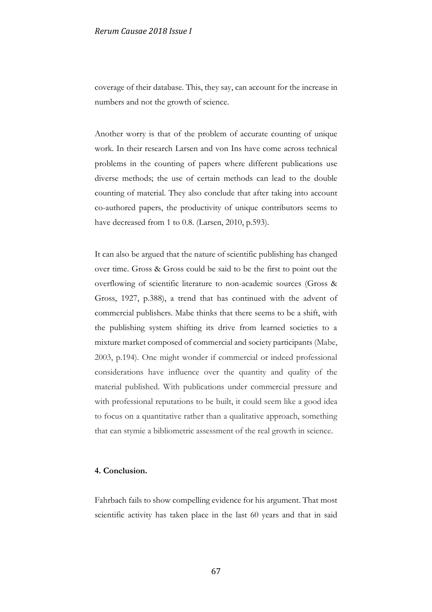coverage of their database. This, they say, can account for the increase in numbers and not the growth of science.

Another worry is that of the problem of accurate counting of unique work. In their research Larsen and von Ins have come across technical problems in the counting of papers where different publications use diverse methods; the use of certain methods can lead to the double counting of material. They also conclude that after taking into account co-authored papers, the productivity of unique contributors seems to have decreased from 1 to 0.8. (Larsen, 2010, p.593).

It can also be argued that the nature of scientific publishing has changed over time. Gross & Gross could be said to be the first to point out the overflowing of scientific literature to non-academic sources (Gross & Gross, 1927, p.388), a trend that has continued with the advent of commercial publishers. Mabe thinks that there seems to be a shift, with the publishing system shifting its drive from learned societies to a mixture market composed of commercial and society participants (Mabe, 2003, p.194). One might wonder if commercial or indeed professional considerations have influence over the quantity and quality of the material published. With publications under commercial pressure and with professional reputations to be built, it could seem like a good idea to focus on a quantitative rather than a qualitative approach, something that can stymie a bibliometric assessment of the real growth in science.

## **4. Conclusion.**

Fahrbach fails to show compelling evidence for his argument. That most scientific activity has taken place in the last 60 years and that in said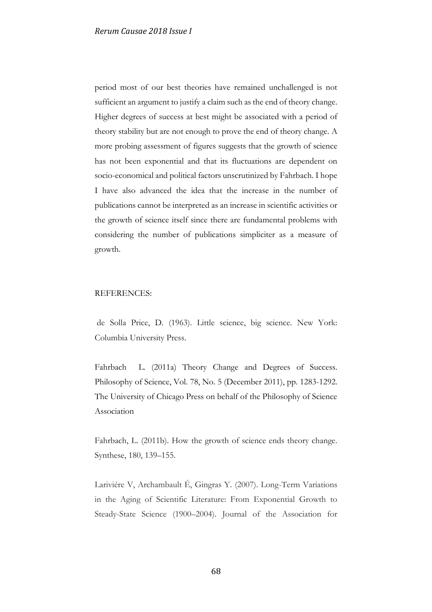period most of our best theories have remained unchallenged is not sufficient an argument to justify a claim such as the end of theory change. Higher degrees of success at best might be associated with a period of theory stability but are not enough to prove the end of theory change. A more probing assessment of figures suggests that the growth of science has not been exponential and that its fluctuations are dependent on socio-economical and political factors unscrutinized by Fahrbach. I hope I have also advanced the idea that the increase in the number of publications cannot be interpreted as an increase in scientific activities or the growth of science itself since there are fundamental problems with considering the number of publications simpliciter as a measure of growth.

## REFERENCES:

de Solla Price, D. (1963). Little science, big science. New York: Columbia University Press.

Fahrbach L. (2011a) Theory Change and Degrees of Success. Philosophy of Science, Vol. 78, No. 5 (December 2011), pp. 1283-1292. The University of Chicago Press on behalf of the Philosophy of Science Association

Fahrbach, L. (2011b). How the growth of science ends theory change. Synthese, 180, 139–155.

Lariviére V, Archambault É, Gingras Y. (2007). Long-Term Variations in the Aging of Scientific Literature: From Exponential Growth to Steady-State Science (1900–2004). Journal of the Association for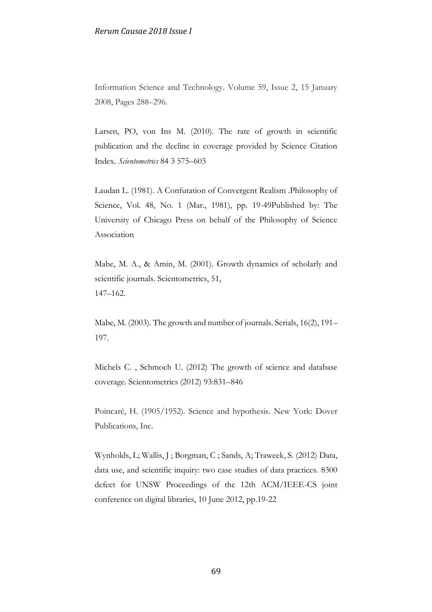Information Science and Technology. Volume 59, Issue 2, 15 January 2008, Pages 288–296.

Larsen, PO, von Ins M. (2010). The rate of growth in scientific publication and the decline in coverage provided by Science Citation Index. *Scientometrics* 84 3 575–603

Laudan L. (1981). A Confutation of Convergent Realism .Philosophy of Science, Vol. 48, No. 1 (Mar., 1981), pp. 19-49Published by: The University of Chicago Press on behalf of the Philosophy of Science Association

Mabe, M. A., & Amin, M. (2001). Growth dynamics of scholarly and scientific journals. Scientometrics, 51, 147–162.

Mabe, M. (2003). The growth and number of journals. Serials, 16(2), 191– 197.

Michels C. , Schmoch U. (2012) The growth of science and database coverage. Scientometrics (2012) 93:831–846

Poincaré, H. (1905/1952). Science and hypothesis. New York: Dover Publications, Inc.

Wynholds, L; Wallis, J ; Borgman, C ; Sands, A; Traweek, S. (2012) Data, data use, and scientific inquiry: two case studies of data practices. 8300 defect for UNSW Proceedings of the 12th ACM/IEEE-CS joint conference on digital libraries, 10 June 2012, pp.19-22